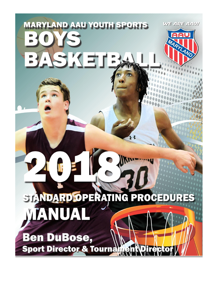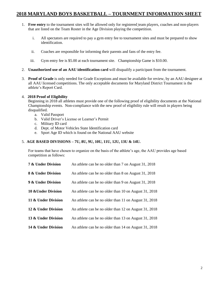## **2018 MARYLAND BOYS BASKETBALL – TOURNMENT INFORMATION SHEET**

- 1. **Free entry** to the tournament sites will be allowed only for registered team players, coaches and non-players that are listed on the Team Roster in the Age Division playing the competition.
	- i. All spectators are required to pay a gym entry fee to tournament sites and must be prepared to show identification.
	- ii. Coaches are responsible for informing their parents and fans of the entry fee.
	- iii. Gym entry fee is \$5.00 at each tournament site. Championship Game is \$10.00.
- 2. **Unauthorized use of an AAU identification card** will disqualify a participant from the tournament.
- 3. **Proof of Grade** is only needed for Grade Exceptions and must be available for review, by an AAU designee at all AAU licensed competitions. The only acceptable documents for Maryland District Tournament is the athlete's Report Card.

## 4. **2018 Proof of Eligibility**

Beginning in 2018 all athletes must provide one of the following proof of eligibility documents at the National Championship events. Non-compliance with the new proof of eligibility rule will result in players being disqualified.

- a. Valid Passport
- b. Valid Driver's License or Learner's Permit
- c. Military ID card
- d. Dept. of Motor Vehicles State Identification card
- e. Sport Age ID which is found on the National AAU website

## 5. **AGE BASED DIVISIONS – 7U, 8U, 9U, 10U, 11U, 12U, 13U & 14U.**

For teams that have chosen to organize on the basis of the athlete's age, the AAU provides age based competition as follows:

| 7 & Under Division  | An athlete can be no older than 7 on August 31, 2018  |
|---------------------|-------------------------------------------------------|
| 8 & Under Division  | An athlete can be no older than 8 on August 31, 2018  |
| 9 & Under Division  | An athlete can be no older than 9 on August 31, 2018  |
| 10 & Under Division | An athlete can be no older than 10 on August 31, 2018 |
| 11 & Under Division | An athlete can be no older than 11 on August 31, 2018 |
| 12 & Under Division | An athlete can be no older than 12 on August 31, 2018 |
| 13 & Under Division | An athlete can be no older than 13 on August 31, 2018 |
| 14 & Under Division | An athlete can be no older than 14 on August 31, 2018 |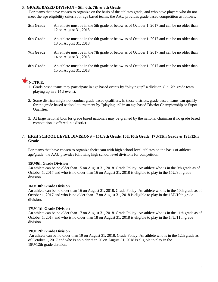## 6. **GRADE BASED DIVISION – 5th, 6th, 7th & 8th Grade**

For teams that have chosen to organize on the basis of the athletes grade, and who have players who do not meet the age eligibility criteria for age based teams, the AAU provides grade based competition as follows:

- **5th Grade** An athlete must be in the 5th grade or below as of October 1, 2017 and can be no older than 12 on August 31, 2018
- **6th Grade** An athlete must be in the 6th grade or below as of October 1, 2017 and can be no older than 13 on August 31, 2018
- **7th Grade** An athlete must be in the 7th grade or below as of October 1, 2017 and can be no older than 14 on August 31, 2018
- **8th Grade** An athlete must be in the 8th grade or below as of October 1, 2017 and can be no older than 15 on August 31, 2018



- 1. Grade based teams may participate in age based events by "playing up" a division. (i.e. 7th grade team playing up in a 14U event).
- 2. Some districts might not conduct grade based qualifiers. In those districts, grade based teams can qualify for the grade based national tournament by "playing up" in an age based District Championship or Super-Qualifier.
- 3. At large national bids for grade based nationals may be granted by the national chairman if no grade based competition is offered in a district.

## 7. **HIGH SCHOOL LEVEL DIVISIONS – 15U/9th Grade, 16U/10th Grade, 17U/11th Grade & 19U/12th Grade**

For teams that have chosen to organize their team with high school level athletes on the basis of athletes age/grade, the AAU provides following high school level divisions for competition:

## **15U/9th Grade Division**

An athlete can be no older than 15 on August 31, 2018. Grade Policy: An athlete who is in the 9th grade as of October 1, 2017 and who is no older than 16 on August 31, 2018 is eligible to play in the 15U/9th grade division.

## **16U/10th Grade Division**

An athlete can be no older than 16 on August 31, 2018. Grade Policy: An athlete who is in the 10th grade as of October 1, 2017 and who is no older than 17 on August 31, 2018 is eligible to play in the 16U/10th grade division.

## **17U/11th Grade Division**

An athlete can be no older than 17 on August 31, 2018. Grade Policy: An athlete who is in the 11th grade as of October 1, 2017 and who is no older than 18 on August 31, 2018 is eligible to play in the 17U/11th grade division.

## **19U/12th Grade Division**

An athlete can be no older than 19 on August 31, 2018. Grade Policy: An athlete who is in the 12th grade as of October 1, 2017 and who is no older than 20 on August 31, 2018 is eligible to play in the 19U/12th grade division.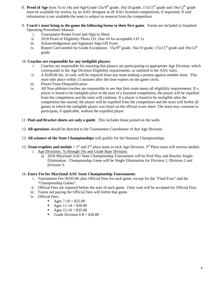- 8. **Proof of Age** from 7u to 14u and Age/Grade 15u/9<sup>th</sup> grade, 16u/10 grade, 17u/11<sup>th</sup> grade and 19u/12<sup>th</sup> grade must be available for review, by an AAU designee at all AAU licensed competitions, if requested. If said information is not available the team is subject to removal from the competition.
- 9. **Coach's must bring to the game the following forms to their first game**. Forms are included in Standard Operating Procedures Manual.
	- i. Tournament Roster Form and Sign-in Sheet
	- ii. 2018 Proof of Eligibility Photo I.D. (See #4 for acceptable I.D.'s)
	- iii. Acknowledgement and Signature Sign-Off Form
	- iv. Report Card needed for Grade Exceptions:  $15u/9<sup>th</sup>$  grade,  $16u/10$  grade,  $17u/11<sup>th</sup>$  grade and  $19u/12<sup>th</sup>$ grade

## 10. **Coaches are responsible for any ineligible players**.

- i. Coaches are responsible for ensuring that players are participating in appropriate Age Division, which corresponds to the Age Division Eligibility requirements, as outlined in the AAU rules.
- ii. A \$100.00 fee, in cash, will be required from any team making a protest against another team. This must take place within 15 minutes after the time expires on the game clock.
- iii. Player/Team Disqualification
- iv. All Non-athletes/coaches are responsible to see that their team meets all eligibility requirements. If a player is found to be ineligible prior to the start of a licensed competition, the player will be expelled from the competition and the team will continue. If a player is found to be ineligible after the competition has started, the player will be expelled from the competition and the team will forfeit all games in which the ineligible player was listed on the official score sheet. The team may continue to participate, if applicable, without the expelled player.
- 11. **Pool and Bracket sheets are only a guide**. This includes those posted on the walls.
- 12. **All questions** should be directed to the Tournament Coordinator of that Age Division.
- 13. **All winners of the State Championships** will qualify for the National Championships.
- 15. **Team trophies and medals** = 1<sup>st</sup> and  $2^{nd}$  place team in each Age Division.  $3^{rd}$  Place team will receive medals.
	- i. Age Divisions: 7u through 19u and Grade Base Division:
		- a) 2018 Maryland AAU State Championship Tournament will be Pool Play and Bracket Single-Elimination. Championship Game will be Single Elimination for Division 1, Division 2 and Division 3.

## 16. **Entry Fee for Maryland AAU State Championship Tournament:**

- i. Tournament Fee=\$350.00, plus Official Fees for each game, except for the "Final Four" and the "Championship Games".
- ii. Official Fees are required before the start of each game. Only cash will be accepted for Official Fees.
- iii. Teams not paying the Official Fees will forfeit that game.
- iv. Official Fees:
	- Ages  $7-10 = $25.00$
	- Ages  $11-14 = $30.00$
	- Ages  $15-19 = $35.00$
	- Grade Division  $6-8 = $30.00$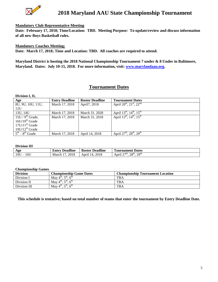

## **Mandatory Club Representative Meeting**

**Date: February 17, 2018; Time/Location: TBD. Meeting Purpose: To update/review and discuss information of all new Boys Basketball rules.**

## **Mandatory Coaches Meeting:**

**Date: March 17, 2018; Time and Location: TBD. All coaches are required to attend.**

**Maryland District is hosting the 2018 National Championship Tournament 7 under & 8 Under in Baltimore, Maryland. Dates: July 10-15, 2018. For more information, visit: [www.marylandaau.org.](http://www.marylandaau.org/)**

## **Tournament Dates**

| Division I, II,     |                       |                        |                                         |
|---------------------|-----------------------|------------------------|-----------------------------------------|
| Age                 | <b>Entry Deadline</b> | <b>Roster Deadline</b> | <b>Tournament Dates</b>                 |
| 8U, 9U, 10U, 11U,   | March 17, 2018        | April7, 2018           | April $20^{th}$ , $21^{st}$ , $22^{nd}$ |
| 12U                 |                       |                        |                                         |
| 13U, 14U            | March 17, 2018        | March 31, 2028         | April $13^{th}$ , $14^{th}$ , $15^{th}$ |
| $15U/9th$ Grade,    | March 17, 2018        | March 31, 2018         | April $13^{th}$ , $14^{th}$ , $15^{th}$ |
| $16U/10^{th}$ Grade |                       |                        |                                         |
| $17U/11th$ Grade    |                       |                        |                                         |
| $19U/12^{th}$ Grade |                       |                        |                                         |
| $5th - 8th$ Grade   | March 17, 2018        | April 14, 2018         | April $27^{th}$ , $28^{th}$ , $29^{th}$ |

#### **Division III**

| Age        | <br>Deadline<br>– Entry | <b>Deadline</b><br><b>Roster</b> | $\overline{\phantom{a}}$<br><b>Dates</b><br>Tournament                                                |
|------------|-------------------------|----------------------------------|-------------------------------------------------------------------------------------------------------|
| 16U<br>10U | 2018<br>March           | 2018<br>Apri<br>14               | $\sim$ oth<br>20 <sup>th</sup><br>$\sim$ $\sim$ th<br>$\sim$ $\sim$ $\sim$ $\sim$<br>April<br>20<br>- |

#### **Championship Games**

| <b>Division</b> | <b>Championship Game Dates</b>                                              | <b>Championship Tournament Location</b> |
|-----------------|-----------------------------------------------------------------------------|-----------------------------------------|
| Division I      | $\tau$ th<br>$\epsilon^{\text{th}}$<br>May $4th$ .                          | <b>TBA</b>                              |
| Division II     | $-th$<br>$\epsilon^{\text{th}}$<br>May $4th$ .                              | <b>TBA</b>                              |
| Division III    | $\epsilon$ <sup>th</sup><br>$\epsilon^{\text{th}}$<br>May $4^{\text{th}}$ . | <b>TBA</b>                              |

**This schedule is tentative; based on total number of teams that enter the tournament by Entry Deadline Date.**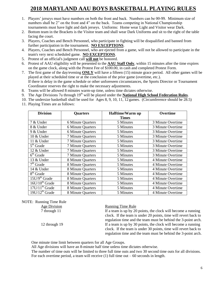## **2018 MARYLAND AAU BOYS BASKETBALL PLAYING RULES**

- 1. Players' jerseys must have numbers on both the front and back. Numbers can be 00-99. Minimum size of numbers shall be 2" on the front and 4" on the back. Teams competing in National Championship tournaments must have light and dark jerseys. Uniforms: Home wear Light and Visitor wear Dark.
- 2. Bottom team in the Brackets is the Visitor team and shall wear Dark Uniforms and sit to the right of the table facing the court.
- 3. Players, Coaches and Bench Personnel, who participate in fighting will be disqualified and banned from further participation in the tournament. **NO EXCEPTIONS**.
- 4. Players, Coaches and Bench Personnel, who are ejected from a game, will not be allowed to participate in the team's very next scheduled game. **NO EXCEPTIONS**.
- 5. Protest of an official's judgment call **will not** be honored.
- 6. Protest of AAU eligibility will be presented to the **AAU Staff Only**, within 15 minutes after the time expires on the game clock, along with the Protest Fee of \$100.00, in cash and completed Protest Form.
- 7. The first game of the day/evening **ONLY** will have a fifteen (15) minute grace period. All other games will be played at their scheduled time or at the conclusion of the prior game (overtime, etc.). If there is delay in the game schedule or other unforeseen circumstances, the Sports Director or Tournament Coordinator reserves the right to make the necessary adjustments.
- 8. Teams will be allowed 8 minutes warm-up time, unless time dictates otherwise.
- 9. The Age Divisions 7u through 19<sup>th</sup> will be played under the **National High School Federation Rules**.
- 10. The undersize basketball shall be used for Ages 8, 9, 10, 11, 12 games. (Circumference should be 28.5)
- 11. Playing Times are as follows:

| <b>Division</b>       | <b>Quarters</b>          | Halftime/Warm up | <b>Overtime</b>   |
|-----------------------|--------------------------|------------------|-------------------|
|                       |                          | <b>Times</b>     |                   |
| 7 & Under             | <b>6 Minute Quarters</b> | 5 Minutes        | 3 Minute Overtime |
| 8 & Under             | <b>6 Minute Quarters</b> | 5 Minutes        | 3 Minute Overtime |
| 9 & Under             | <b>6 Minute Quarters</b> | 5 Minutes        | 3 Minute Overtime |
| 10 & Under            | 7 Minute Quarters        | 5 Minutes        | 3 Minute Overtime |
| 11 & Under            | <b>7 Minute Quarters</b> | 5 Minutes        | 3 Minute Overtime |
| $5th$ Grade           | 7 Minute Quarters        | 5 Minutes        | 3 Minute Overtime |
| 12 & Under            | 7 Minute Quarters        | 5 Minutes        | 3 Minute Overtime |
| $6th$ Grade           | 7 Minute Quarters        | 5 Minutes        | 3 Minute Overtime |
| 13 & Under            | 8 Minute Quarters        | 5 Minutes        | 4 Minute Overtime |
| $7th$ Grade           | 8 Minute Quarters        | 5 Minutes        | 4 Minute Overtime |
| 14 & Under            | 8 Minute Quarters        | 5 Minutes        | 4 Minute Overtime |
| 8 <sup>th</sup> Grade | 8 Minute Quarters        | 5 Minutes        | 4 Minute Overtime |
| $15U/9th$ Grade       | 8 Minute Quarters        | 5 Minutes        | 4 Minute Overtime |
| $16U/10th$ Grade      | 8 Minute Quarters        | 5 Minutes        | 4 Minute Overtime |
| $17U/11th$ Grade      | 8 Minute Quarters        | 5 Minutes        | 4 Minute Overtime |
| $19U/12th$ Grade      | 8 Minute Quarters        | 5 Minutes        | 4 Minute Overtime |

NOTE: Running Time Rule

## Age Division Running Time Rule

7 through 11 **If a team is up by 20 points, the clock will become a running** clock. If the team is under 20 points, time will revert back to regulation time and the team must be behind the 3-point arch. 12 through 19 If a team is up by 30 points, the clock will become a running clock. If the team is under 30 points, time will revert back to regulation time and the team must be behind the 3-point arch.

One minute time limit between quarters for all Age Groups.

All Age divisions will have an 8-minute half time unless time dictates otherwise.

The number of time outs will be limited to three full time outs and two 30 second time outs for all divisions. For each overtime period, a team will receive  $(1)$  full time out  $-60$  seconds in length.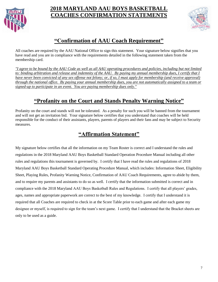

## **2018 MARYLAND AAU BOYS BASKETBALL COACHES CONFIRMATION STATEMENTS**



# **"Confirmation of AAU Coach Requirement"**

All coaches are required by the AAU National Office to sign this statement. Your signature below signifies that you have read and you are in compliance with the requirements detailed in the following statement taken from the membership card.

*"I agree to be bound by the AAU Code as well as all AAU operating procedures and policies, including but not limited to: binding arbitration and release and indemnity of the AAU. By paying my annual membership dues, I certify that I have never been convicted of any sex offense not felony; or, if so, I must apply for membership (and receive approval) through the national office. By paying your annual membership dues, you are not automatically assigned to a team or signed-up to participate in an event. You are paying membership dues only."*

# **"Profanity on the Court and Stands Penalty Warning Notice"**

Profanity on the court and stands will not be tolerated. As a penalty for such you will be banned from the tournament and will not get an invitation bid. Your signature below certifies that you understand that coaches will be held responsible for the conduct of their assistants, players, parents of players and their fans and may be subject to Security measures.

# **"Affirmation Statement"**

My signature below certifies that all the information on my Team Roster is correct and I understand the rules and regulations in the 2018 Maryland AAU Boys Basketball Standard Operation Procedure Manual including all other rules and regulations this tournament is governed by. I certify that I have read the rules and regulations of 2018 Maryland AAU Boys Basketball Standard Operating Procedure Manual, which includes: Information Sheet, Eligibility Sheet, Playing Rules, Profanity Warning Notice, Confirmation of AAU Coach Requirements, agree to abide by them, and to require my parents and assistants to do so as well. I certify that the information submitted is correct and in compliance with the 2018 Maryland AAU Boys Basketball Rules and Regulations. I certify that all players' grades, ages, names and appropriate paperwork are correct to the best of my knowledge. I certify that I understand it is required that all Coaches are required to check in at the Score Table prior to each game and after each game my designee or myself, is required to sign for the team's next game. I certify that I understand that the Bracket sheets are only to be used as a guide.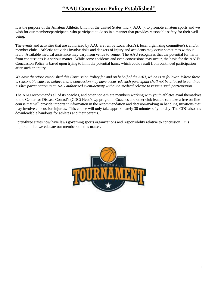## **"AAU Concussion Policy Established"**

It is the purpose of the Amateur Athletic Union of the United States, Inc. ("AAU"), to promote amateur sports and we wish for our members/participants who participate to do so in a manner that provides reasonable safety for their wellbeing.

The events and activities that are authorized by AAU are run by Local Host(s), local organizing committee(s), and/or member clubs. Athletic activities involve risks and dangers of injury and accidents may occur sometimes without fault. Available medical assistance may vary from venue to venue. The AAU recognizes that the potential for harm from concussions is a serious matter. While some accidents and even concussions may occur, the basis for the AAU's Concussion Policy is based upon trying to limit the potential harm, which could result from continued participation after such an injury.

We have therefore established this Concussion Policy for and on behalf of the AAU, which is as follows: Where there *is reasonable cause to believe that a concussion may have occurred, such participant shall not be allowed to continue his/her participation in an AAU authorized event/activity without a medical release to resume such participation.*

The AAU recommends all of its coaches, and other non-athlete members working with youth athletes avail themselves to the Center for Disease Control's (CDC) Head's Up program. Coaches and other club leaders can take a free on-line course that will provide important information in the recommendation and decision-making in handling situations that may involve concussion injuries. This course will only take approximately 30 minutes of your day. The CDC also has downloadable handouts for athletes and their parents.

Forty-three states now have laws governing sports organizations and responsibility relative to concussion. It is important that we educate our members on this matter.

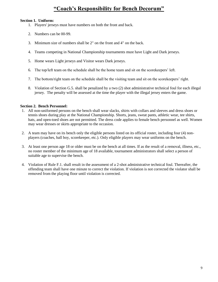## **"Coach's Responsibility for Bench Decorum"**

## **Section 1. Uniform:**

- 1. Players' jerseys must have numbers on both the front and back.
- 2. Numbers can be 00-99.
- 3. Minimum size of numbers shall be 2" on the front and 4" on the back.
- 4. Teams competing in National Championship tournaments must have Light and Dark jerseys.
- 5. Home wears Light jerseys and Visitor wears Dark jerseys.
- 6. The top/left team on the schedule shall be the home team and sit on the scorekeepers' left.
- 7. The bottom/right team on the schedule shall be the visiting team and sit on the scorekeepers' right.
- 8. Violation of Section G.5. shall be penalized by a two (2) shot administrative technical foul for each illegal jersey. The penalty will be assessed at the time the player with the illegal jersey enters the game.

## **Section 2. Bench Personnel:**

- 1. All non-uniformed persons on the bench shall wear slacks, shirts with collars and sleeves and dress shoes or tennis shoes during play at the National Championship. Shorts, jeans, sweat pants, athletic wear, tee shirts, hats, and open-toed shoes are not permitted. The dress code applies to female bench personnel as well. Women may wear dresses or skirts appropriate to the occasion.
- 2. A team may have on its bench only the eligible persons listed on its official roster, including four (4) nonplayers (coaches, ball boy, scorekeeper, etc.). Only eligible players may wear uniforms on the bench.
- 3. At least one person age 18 or older must be on the bench at all times. If as the result of a removal, illness, etc., no roster member of the minimum age of 18 available, tournament administrators shall select a person of suitable age to supervise the bench.
- 4. Violation of Rule F.1. shall result in the assessment of a 2-shot administrative technical foul. Thereafter, the offending team shall have one minute to correct the violation. If violation is not corrected the violator shall be removed from the playing floor until violation is corrected.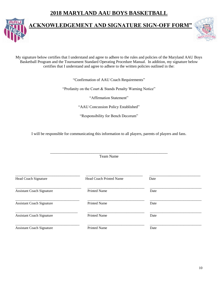# **2018 MARYLAND AAU BOYS BASKETBALL**



## **"ACKNOWLEDGEMENT AND SIGNATURE SIGN-OFF FORM"**



My signature below certifies that I understand and agree to adhere to the rules and policies of the Maryland AAU Boys Basketball Program and the Tournament Standard Operating Procedure Manual. In addition, my signature below certifies that I understand and agree to adhere to the written policies outlined in the:

"Confirmation of AAU Coach Requirements"

"Profanity on the Court & Stands Penalty Warning Notice"

"Affirmation Statement"

"AAU Concussion Policy Established"

"Responsibility for Bench Decorum"

I will be responsible for communicating this information to all players, parents of players and fans.

\_\_\_\_\_\_\_\_\_\_\_\_\_\_\_\_\_\_\_\_\_\_\_\_\_\_\_\_\_\_\_\_\_\_\_\_\_\_\_\_\_\_\_\_\_\_\_\_\_\_\_\_\_\_\_\_\_\_\_\_ Team Name

| Head Coach Signature             | <b>Head Coach Printed Name</b> | Date |  |
|----------------------------------|--------------------------------|------|--|
| <b>Assistant Coach Signature</b> | <b>Printed Name</b>            | Date |  |
| <b>Assistant Coach Signature</b> | <b>Printed Name</b>            | Date |  |
| <b>Assistant Coach Signature</b> | <b>Printed Name</b>            | Date |  |
| <b>Assistant Coach Signature</b> | <b>Printed Name</b>            | Date |  |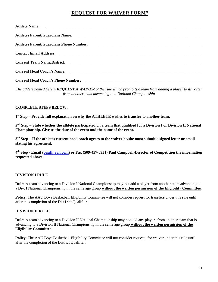## "**REQUEST FOR WAIVER FORM"**

| <b>Athlete Name:</b>                      |
|-------------------------------------------|
|                                           |
|                                           |
|                                           |
|                                           |
|                                           |
| <b>Current Head Coach's Phone Number:</b> |

*The athlete named herein REQUEST A WAIVER of the rule which prohibits a team from adding a player to its roster from another team advancing to a National Championship*

## **COMPLETE STEPS BELOW:**

**1 st Step – Provide full explanation on why the ATHLETE wishes to transfer to another team.**

**2 nd Step – State whether the athlete participated on a team that qualified for a Division I or Division II National Championship. Give us the date of the event and the name of the event.** 

**3 rd Step – If the athletes current head coach agrees to the waiver he/she must submit a signed letter or email stating his agreement.** 

**4 th Step - Email [\(paul@yvn.com\)](mailto:paul@yvn.com) or Fax (509-457-0931) Paul Campbell-Director of Competition the information requested above.** 

## **DIVISION I RULE**

**Rule:** A team advancing to a Division I National Championship may not add a player from another team advancing to a Div. I National Championship in the same age group **without the written permission of the Eligibility Committee**.

**Policy**: The AAU Boys Basketball Eligibility Committee will not consider request for transfers under this rule until after the completion of the Dist1rict Qualifier.

## **DIVISION II RULE**

**Rule:** A team advancing to a Division II National Championship may not add any players from another team that is advancing to a Division II National Championship in the same age group **without the written permission of the Eligibility Committee**.

Policy: The AAU Boys Basketball Eligibility Committee will not consider request, for waiver under this rule until after the completion of the District Qualifier.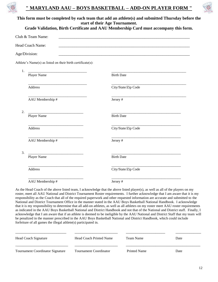

## **" MARYLAND AAU – BOYS BASKETBALL – ADD-ON PLAYER FORM "**



|                   |                                                                                                                                      | This form must be completed by each team that add an athlete(s) and submitted Thursday before the<br>start of their Age Tournament. |
|-------------------|--------------------------------------------------------------------------------------------------------------------------------------|-------------------------------------------------------------------------------------------------------------------------------------|
|                   |                                                                                                                                      | Grade Validation, Birth Certificate and AAU Membership Card must accompany this form.                                               |
| Club & Team Name: |                                                                                                                                      | <u> 1989 - Johann John Stoff, deutscher Stoff und der Stoff und der Stoff und der Stoff und der Stoff und der Sto</u>               |
| Head Coach Name:  |                                                                                                                                      |                                                                                                                                     |
| Age/Division:     |                                                                                                                                      |                                                                                                                                     |
|                   | Athlete's Name(s) as listed on their birth certificate(s):                                                                           |                                                                                                                                     |
| 1.                |                                                                                                                                      |                                                                                                                                     |
|                   | Player Name                                                                                                                          | <b>Birth Date</b>                                                                                                                   |
|                   | Address                                                                                                                              | City/State/Zip Code                                                                                                                 |
|                   | AAU Membership #                                                                                                                     | Jersey#                                                                                                                             |
| 2.                | <u> 1989 - Jan James James James James James James James James James James James James James James James James Ja</u><br>Player Name | <b>Birth Date</b>                                                                                                                   |
|                   |                                                                                                                                      | <u> 1980 - Johann Barbara, martin amerikan basar dan bagi dan bagi dan bagi dalam bagi dalam bagi dalam bagi dan</u>                |
|                   | Address                                                                                                                              | City/State/Zip Code                                                                                                                 |
|                   | AAU Membership #                                                                                                                     | Jersey#                                                                                                                             |
| 3.                | Player Name                                                                                                                          | <b>Birth Date</b>                                                                                                                   |
|                   |                                                                                                                                      |                                                                                                                                     |
|                   | Address                                                                                                                              | City/State/Zip Code                                                                                                                 |
|                   | AAU Membership #                                                                                                                     | Jersey#                                                                                                                             |

As the Head Coach of the above listed team, I acknowledge that the above listed player(s), as well as all of the players on my roster, meet all AAU National and District Tournament Roster requirements. I further acknowledge that I am aware that it is my responsibility as the Coach that all of the required paperwork and other requested information are accurate and submitted to the National and District Tournament Office in the manner stated in the AAU Boys Basketball National Handbook. I acknowledge that it is my responsibility to determine that all add-on athletes, as well as all athletes on my roster meet AAU roster requirements as indicated in the AAU Boys Basketball National and District Handbook and not that of the National and District staff. Finally, I acknowledge that I am aware that if an athlete is deemed to be ineligible by the AAU National and District Staff that my team will be penalized in the manner prescribed in the AAU Boys Basketball National and District Handbook, which could include forfeiture of all games the illegal athlete(s) participated in.

| <b>Head Coach Signature</b>             | Head Coach Printed Name       | Team Name    | Date |
|-----------------------------------------|-------------------------------|--------------|------|
| <b>Tournament Coordinator Signature</b> | <b>Tournament Coordinator</b> | Printed Name | Date |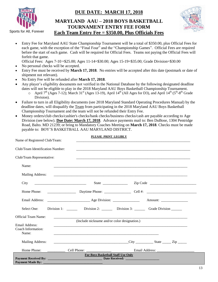



Sports for All, Forever

## **MARYLAND AAU – 2018 BOYS BASKETBALL TOURNAMENT ENTRY FEE FORM Each Team Entry Fee = \$350.00, Plus Officials Fees**



 Entry Fee for Maryland AAU State Championship Tournament will be a total of \$350.00, plus Official Fees for each game, with the exception of the "Final Four" and the "Championship Games". Official Fees are required before the start of each game. Cash will be required for Official Fees. Teams not paying the Official Fees will forfeit that game.

Official Fees: Ages 7-10 =\$25.00; Ages 11-14=\$30.00; Ages 15-19=\$35.00; Grade Division=\$30.00

- No personal checks will be accepted.
- Entry Fee must be received by **March 17, 2018**. No entries will be accepted after this date (postmark or date of shipment not relevant).
- No Entry Fee will be refunded after **March 17, 2018**.
- Any player's eligibility documents not verified in the National Database by the following designated deadline dates will not be eligible to play in the 2018 Maryland AAU Boys Basketball Championship Tournament.  $\circ$  April 7<sup>th</sup> (Ages 7-12); March 31<sup>st</sup> (Ages 13-19), April 14<sup>th</sup> (All Ages for D3), and April 14<sup>th</sup> (5<sup>th</sup>-8<sup>th</sup> Grade
	- Division).
- Failure to turn in all Eligibility documents (see 2018 Maryland Standard Operating Procedures Manual) by the deadline dates, will disqualify the Team from participating in the 2018 Maryland AAU Boys Basketball Championship Tournament and the team will not be refunded their Entry Fee.
- Money orders/club checks/cashier's checks/bank checks/business checks/cash are payable according to Age Division (see below). **Due Date: March 17, 2018**. Advance payments mail to: Ben DuBose, 1304 Pentridge Road, Balto. MD 21239; or bring to Mandatory Coaches Meeting on **March 17, 2018**. Checks must be made payable to: BOY'S BASKETBALL AAU MARYLAND DISTRICT.

| Name of Registered Club/Team:                 | PLEASE PRINT LEGIBLY                         |                                                    |  |
|-----------------------------------------------|----------------------------------------------|----------------------------------------------------|--|
| Club/Team Identification Number:              |                                              |                                                    |  |
| Club/Team Representative:                     |                                              |                                                    |  |
| Name:                                         |                                              |                                                    |  |
|                                               |                                              |                                                    |  |
| City                                          |                                              |                                                    |  |
| Home Phone:                                   |                                              |                                                    |  |
|                                               |                                              |                                                    |  |
| Select One:                                   |                                              | Division 1: Division 2: Division 3: Grade Division |  |
| <b>Official Team Name:</b>                    | (Include nickname and/or color designation.) |                                                    |  |
| Email Address:<br>Coach Information:<br>Name: |                                              |                                                    |  |
| Mailing Address:                              |                                              |                                                    |  |
|                                               |                                              |                                                    |  |
|                                               | For Boys Basketball Staff Use Only           |                                                    |  |